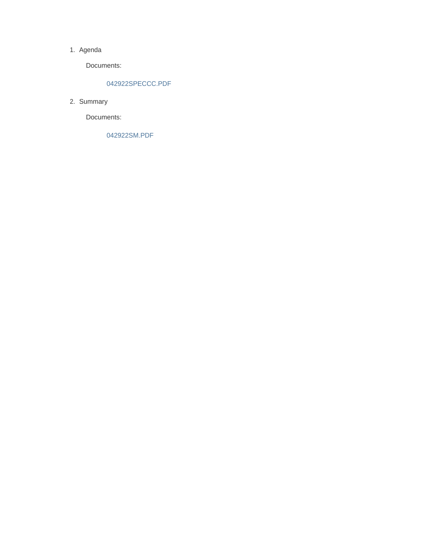### 1. Agenda

Documents:

## 042922SPECCC.PDF

2. Summary

Documents:

042922SM.PDF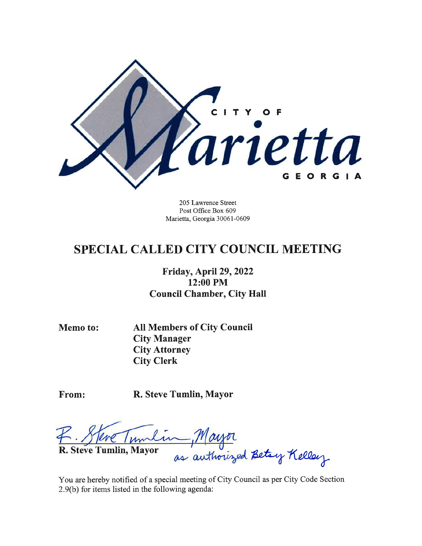

205 Lawrence Street Post Office Box 609 Marietta, Georgia 30061-0609

# **SPECIAL CALLED CITY COUNCIL MEETING**

# Friday, April 29, 2022 12:00 PM **Council Chamber, City Hall**

**Memo to:** 

**All Members of City Council City Manager City Attorney City Clerk** 

From:

R. Steve Tumlin, Mayor

R. Steve Tumlin, Mayor as authorized Betay Kelley

You are hereby notified of a special meeting of City Council as per City Code Section 2.9(b) for items listed in the following agenda: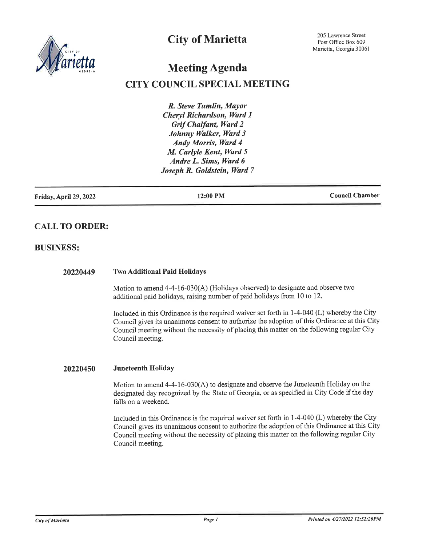

# **City of Marietta**

# **Meeting Agenda**

# **CITY COUNCIL SPECIAL MEETING**

R. Steve Tumlin, Mayor Cheryl Richardson, Ward 1 **Grif Chalfant, Ward 2** Johnny Walker, Ward 3 **Andy Morris, Ward 4** M. Carlyle Kent, Ward 5 Andre L. Sims, Ward 6 Joseph R. Goldstein, Ward 7

Friday, April 29, 2022

12:00 PM

**Council Chamber** 

## **CALL TO ORDER:**

### **BUSINESS:**

#### **Two Additional Paid Holidays** 20220449

Motion to amend 4-4-16-030(A) (Holidays observed) to designate and observe two additional paid holidays, raising number of paid holidays from 10 to 12.

Included in this Ordinance is the required waiver set forth in 1-4-040 (L) whereby the City Council gives its unanimous consent to authorize the adoption of this Ordinance at this City Council meeting without the necessity of placing this matter on the following regular City Council meeting.

#### Juneteenth Holiday 20220450

Motion to amend 4-4-16-030(A) to designate and observe the Juneteenth Holiday on the designated day recognized by the State of Georgia, or as specified in City Code if the day falls on a weekend.

Included in this Ordinance is the required waiver set forth in 1-4-040 (L) whereby the City Council gives its unanimous consent to authorize the adoption of this Ordinance at this City Council meeting without the necessity of placing this matter on the following regular City Council meeting.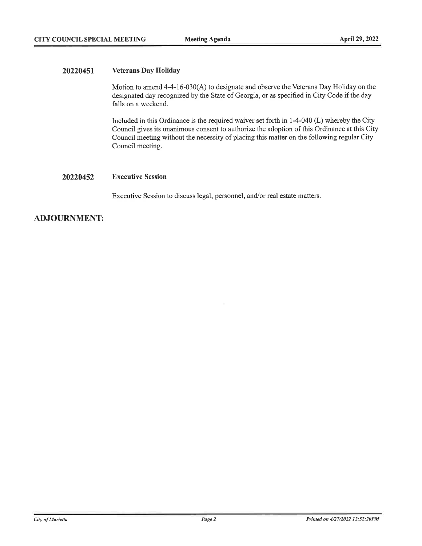#### 20220451 **Veterans Day Holiday**

Motion to amend 4-4-16-030(A) to designate and observe the Veterans Day Holiday on the designated day recognized by the State of Georgia, or as specified in City Code if the day falls on a weekend.

Included in this Ordinance is the required waiver set forth in 1-4-040 (L) whereby the City Council gives its unanimous consent to authorize the adoption of this Ordinance at this City Council meeting without the necessity of placing this matter on the following regular City Council meeting.

#### 20220452 **Executive Session**

Executive Session to discuss legal, personnel, and/or real estate matters.

## **ADJOURNMENT:**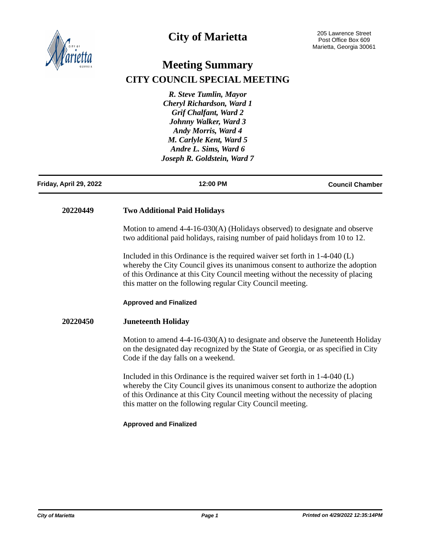

# **City of Marietta**

# **Meeting Summary CITY COUNCIL SPECIAL MEETING**

*R. Steve Tumlin, Mayor Cheryl Richardson, Ward 1 Grif Chalfant, Ward 2 Johnny Walker, Ward 3 Andy Morris, Ward 4 M. Carlyle Kent, Ward 5 Andre L. Sims, Ward 6 Joseph R. Goldstein, Ward 7*

| Friday, April 29, 2022                                                                                                                                                                                                                                                                                          | 12:00 PM                                                                                                                                                                                                                                                                                                        | <b>Council Chamber</b> |
|-----------------------------------------------------------------------------------------------------------------------------------------------------------------------------------------------------------------------------------------------------------------------------------------------------------------|-----------------------------------------------------------------------------------------------------------------------------------------------------------------------------------------------------------------------------------------------------------------------------------------------------------------|------------------------|
| 20220449                                                                                                                                                                                                                                                                                                        | <b>Two Additional Paid Holidays</b>                                                                                                                                                                                                                                                                             |                        |
|                                                                                                                                                                                                                                                                                                                 | Motion to amend 4-4-16-030(A) (Holidays observed) to designate and observe<br>two additional paid holidays, raising number of paid holidays from 10 to 12.                                                                                                                                                      |                        |
| Included in this Ordinance is the required waiver set forth in $1-4-040$ (L)<br>whereby the City Council gives its unanimous consent to authorize the adoption<br>of this Ordinance at this City Council meeting without the necessity of placing<br>this matter on the following regular City Council meeting. |                                                                                                                                                                                                                                                                                                                 |                        |
|                                                                                                                                                                                                                                                                                                                 | <b>Approved and Finalized</b>                                                                                                                                                                                                                                                                                   |                        |
| 20220450                                                                                                                                                                                                                                                                                                        | <b>Juneteenth Holiday</b>                                                                                                                                                                                                                                                                                       |                        |
|                                                                                                                                                                                                                                                                                                                 | Motion to amend $4-4-16-030(A)$ to designate and observe the Juneteenth Holiday<br>on the designated day recognized by the State of Georgia, or as specified in City<br>Code if the day falls on a weekend.                                                                                                     |                        |
|                                                                                                                                                                                                                                                                                                                 | Included in this Ordinance is the required waiver set forth in $1-4-040$ (L)<br>whereby the City Council gives its unanimous consent to authorize the adoption<br>of this Ordinance at this City Council meeting without the necessity of placing<br>this matter on the following regular City Council meeting. |                        |
|                                                                                                                                                                                                                                                                                                                 | <b>Approved and Finalized</b>                                                                                                                                                                                                                                                                                   |                        |